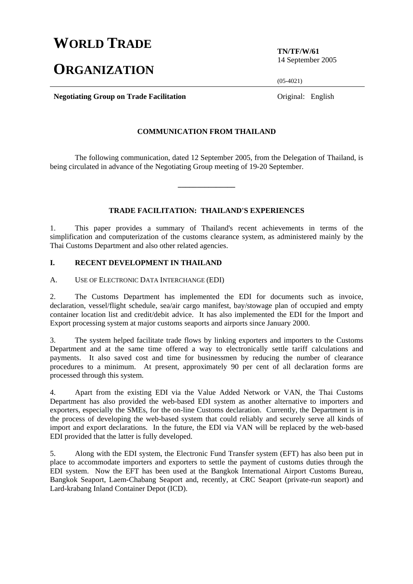# **WORLD TRADE**

# **ORGANIZATION**

**TN/TF/W/61**  14 September 2005

 $(05-4021)$ 

**Negotiating Group on Trade Facilitation Constanting Constanting Group on Trade Facilitation Constanting Constanting Constanting Constanting Constanting Constanting Constanting Constanting Constanting Constanting Const** 

#### **COMMUNICATION FROM THAILAND**

 The following communication, dated 12 September 2005, from the Delegation of Thailand, is being circulated in advance of the Negotiating Group meeting of 19-20 September.

**\_\_\_\_\_\_\_\_\_\_\_\_\_\_\_** 

## **TRADE FACILITATION: THAILAND'S EXPERIENCES**

1. This paper provides a summary of Thailand's recent achievements in terms of the simplification and computerization of the customs clearance system, as administered mainly by the Thai Customs Department and also other related agencies.

## **I. RECENT DEVELOPMENT IN THAILAND**

A. USE OF ELECTRONIC DATA INTERCHANGE (EDI)

2. The Customs Department has implemented the EDI for documents such as invoice, declaration, vessel/flight schedule, sea/air cargo manifest, bay/stowage plan of occupied and empty container location list and credit/debit advice. It has also implemented the EDI for the Import and Export processing system at major customs seaports and airports since January 2000.

3. The system helped facilitate trade flows by linking exporters and importers to the Customs Department and at the same time offered a way to electronically settle tariff calculations and payments. It also saved cost and time for businessmen by reducing the number of clearance procedures to a minimum. At present, approximately 90 per cent of all declaration forms are processed through this system.

4. Apart from the existing EDI via the Value Added Network or VAN, the Thai Customs Department has also provided the web-based EDI system as another alternative to importers and exporters, especially the SMEs, for the on-line Customs declaration. Currently, the Department is in the process of developing the web-based system that could reliably and securely serve all kinds of import and export declarations. In the future, the EDI via VAN will be replaced by the web-based EDI provided that the latter is fully developed.

5. Along with the EDI system, the Electronic Fund Transfer system (EFT) has also been put in place to accommodate importers and exporters to settle the payment of customs duties through the EDI system. Now the EFT has been used at the Bangkok International Airport Customs Bureau, Bangkok Seaport, Laem-Chabang Seaport and, recently, at CRC Seaport (private-run seaport) and Lard-krabang Inland Container Depot (ICD).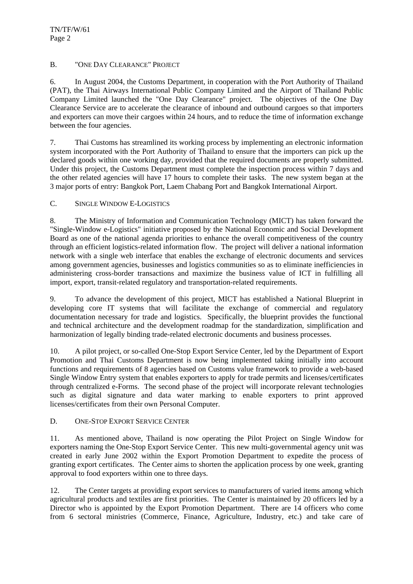## B. "ONE DAY CLEARANCE" PROJECT

6. In August 2004, the Customs Department, in cooperation with the Port Authority of Thailand (PAT), the Thai Airways International Public Company Limited and the Airport of Thailand Public Company Limited launched the "One Day Clearance" project. The objectives of the One Day Clearance Service are to accelerate the clearance of inbound and outbound cargoes so that importers and exporters can move their cargoes within 24 hours, and to reduce the time of information exchange between the four agencies.

7. Thai Customs has streamlined its working process by implementing an electronic information system incorporated with the Port Authority of Thailand to ensure that the importers can pick up the declared goods within one working day, provided that the required documents are properly submitted. Under this project, the Customs Department must complete the inspection process within 7 days and the other related agencies will have 17 hours to complete their tasks. The new system began at the 3 major ports of entry: Bangkok Port, Laem Chabang Port and Bangkok International Airport.

## C. SINGLE WINDOW E-LOGISTICS

8. The Ministry of Information and Communication Technology (MICT) has taken forward the "Single-Window e-Logistics" initiative proposed by the National Economic and Social Development Board as one of the national agenda priorities to enhance the overall competitiveness of the country through an efficient logistics-related information flow. The project will deliver a national information network with a single web interface that enables the exchange of electronic documents and services among government agencies, businesses and logistics communities so as to eliminate inefficiencies in administering cross-border transactions and maximize the business value of ICT in fulfilling all import, export, transit-related regulatory and transportation-related requirements.

9. To advance the development of this project, MICT has established a National Blueprint in developing core IT systems that will facilitate the exchange of commercial and regulatory documentation necessary for trade and logistics. Specifically, the blueprint provides the functional and technical architecture and the development roadmap for the standardization, simplification and harmonization of legally binding trade-related electronic documents and business processes.

10. A pilot project, or so-called One-Stop Export Service Center, led by the Department of Export Promotion and Thai Customs Department is now being implemented taking initially into account functions and requirements of 8 agencies based on Customs value framework to provide a web-based Single Window Entry system that enables exporters to apply for trade permits and licenses/certificates through centralized e-Forms. The second phase of the project will incorporate relevant technologies such as digital signature and data water marking to enable exporters to print approved licenses/certificates from their own Personal Computer.

## D. ONE-STOP EXPORT SERVICE CENTER

11. As mentioned above, Thailand is now operating the Pilot Project on Single Window for exporters naming the One-Stop Export Service Center. This new multi-governmental agency unit was created in early June 2002 within the Export Promotion Department to expedite the process of granting export certificates. The Center aims to shorten the application process by one week, granting approval to food exporters within one to three days.

12. The Center targets at providing export services to manufacturers of varied items among which agricultural products and textiles are first priorities. The Center is maintained by 20 officers led by a Director who is appointed by the Export Promotion Department. There are 14 officers who come from 6 sectoral ministries (Commerce, Finance, Agriculture, Industry, etc.) and take care of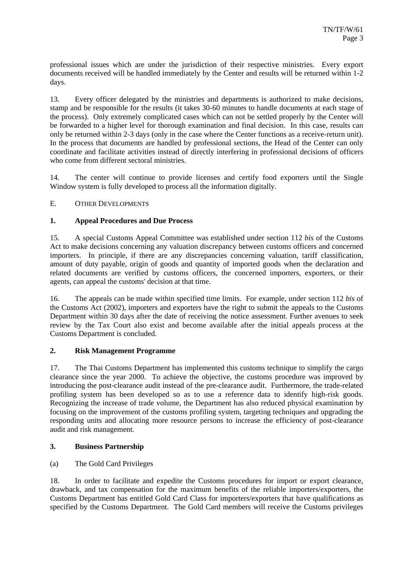professional issues which are under the jurisdiction of their respective ministries. Every export documents received will be handled immediately by the Center and results will be returned within 1-2 days.

13. Every officer delegated by the ministries and departments is authorized to make decisions, stamp and be responsible for the results (it takes 30-60 minutes to handle documents at each stage of the process). Only extremely complicated cases which can not be settled properly by the Center will be forwarded to a higher level for thorough examination and final decision. In this case, results can only be returned within 2-3 days (only in the case where the Center functions as a receive-return unit). In the process that documents are handled by professional sections, the Head of the Center can only coordinate and facilitate activities instead of directly interfering in professional decisions of officers who come from different sectoral ministries.

14. The center will continue to provide licenses and certify food exporters until the Single Window system is fully developed to process all the information digitally.

## E. OTHER DEVELOPMENTS

## **1. Appeal Procedures and Due Process**

15. A special Customs Appeal Committee was established under section 112 *bis* of the Customs Act to make decisions concerning any valuation discrepancy between customs officers and concerned importers. In principle, if there are any discrepancies concerning valuation, tariff classification, amount of duty payable, origin of goods and quantity of imported goods when the declaration and related documents are verified by customs officers, the concerned importers, exporters, or their agents, can appeal the customs' decision at that time.

16. The appeals can be made within specified time limits. For example, under section 112 *bis* of the Customs Act (2002), importers and exporters have the right to submit the appeals to the Customs Department within 30 days after the date of receiving the notice assessment. Further avenues to seek review by the Tax Court also exist and become available after the initial appeals process at the Customs Department is concluded.

#### **2. Risk Management Programme**

17. The Thai Customs Department has implemented this customs technique to simplify the cargo clearance since the year 2000. To achieve the objective, the customs procedure was improved by introducing the post-clearance audit instead of the pre-clearance audit. Furthermore, the trade-related profiling system has been developed so as to use a reference data to identify high-risk goods. Recognizing the increase of trade volume, the Department has also reduced physical examination by focusing on the improvement of the customs profiling system, targeting techniques and upgrading the responding units and allocating more resource persons to increase the efficiency of post-clearance audit and risk management.

#### **3. Business Partnership**

(a) The Gold Card Privileges

18. In order to facilitate and expedite the Customs procedures for import or export clearance, drawback, and tax compensation for the maximum benefits of the reliable importers/exporters, the Customs Department has entitled Gold Card Class for importers/exporters that have qualifications as specified by the Customs Department. The Gold Card members will receive the Customs privileges